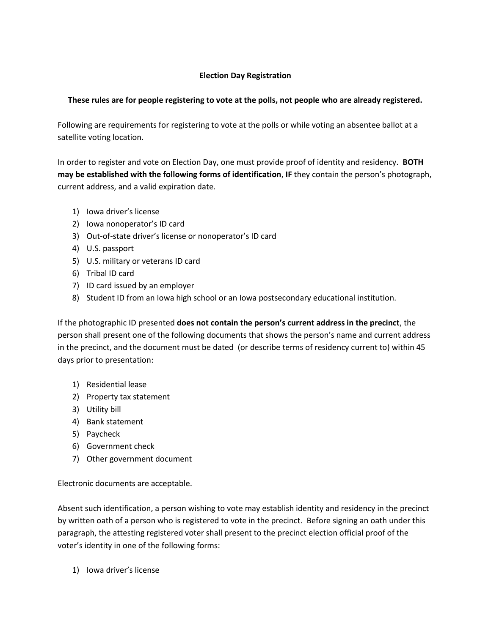## **Election Day Registration**

## **These rules are for people registering to vote at the polls, not people who are already registered.**

Following are requirements for registering to vote at the polls or while voting an absentee ballot at a satellite voting location.

In order to register and vote on Election Day, one must provide proof of identity and residency. **BOTH may be established with the following forms of identification**, **IF** they contain the person's photograph, current address, and a valid expiration date.

- 1) Iowa driver's license
- 2) Iowa nonoperator's ID card
- 3) Out-of-state driver's license or nonoperator's ID card
- 4) U.S. passport
- 5) U.S. military or veterans ID card
- 6) Tribal ID card
- 7) ID card issued by an employer
- 8) Student ID from an Iowa high school or an Iowa postsecondary educational institution.

If the photographic ID presented **does not contain the person's current address in the precinct**, the person shall present one of the following documents that shows the person's name and current address in the precinct, and the document must be dated (or describe terms of residency current to) within 45 days prior to presentation:

- 1) Residential lease
- 2) Property tax statement
- 3) Utility bill
- 4) Bank statement
- 5) Paycheck
- 6) Government check
- 7) Other government document

Electronic documents are acceptable.

Absent such identification, a person wishing to vote may establish identity and residency in the precinct by written oath of a person who is registered to vote in the precinct. Before signing an oath under this paragraph, the attesting registered voter shall present to the precinct election official proof of the voter's identity in one of the following forms:

1) Iowa driver's license